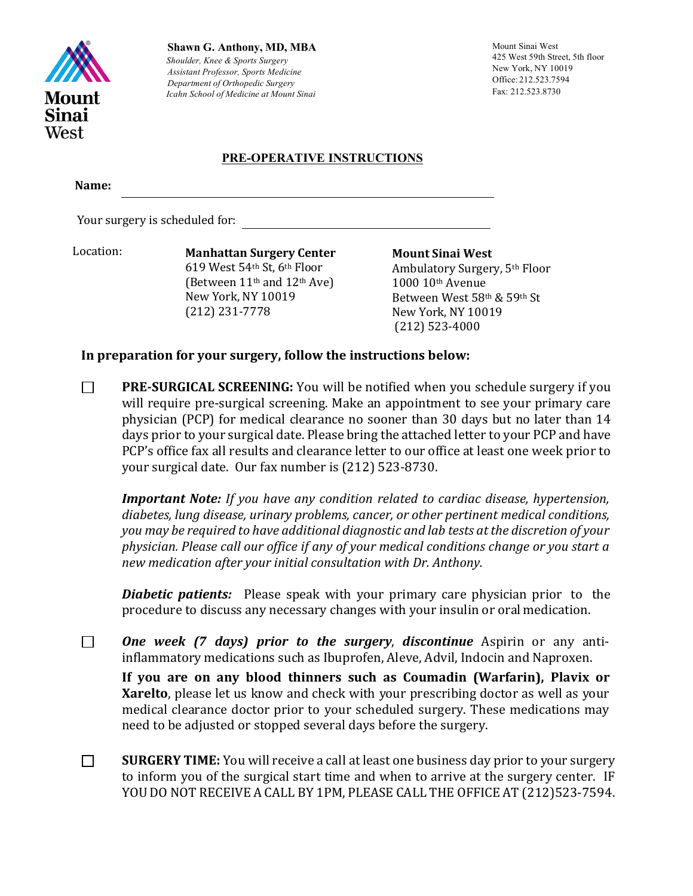

**Shawn G. Anthony, MD, MBA** *Shoulder, Knee & Sports Surgery Assistant Professor, Sports Medicine Department of Orthopedic Surgery Icahn School of Medicine at Mount Sinai*

Mount Sinai West 425 West 59th Street, 5th floor New York, NY 10019 Office: 212.523.7594 Fax: 212.523.8730

### **PRE-OPERATIVE INSTRUCTIONS**

**Name:**

Your surgery is scheduled for:

Location:

**619** West 54th St, 6th Floor **Manhattan Surgery Center** (Between  $11<sup>th</sup>$  and  $12<sup>th</sup>$  Ave) New York, NY 10019 (212) 231-7778

**Mount Sinai West** Ambulatory Surgery, 5<sup>th</sup> Floor 1000 10th Avenue Between West 58th & 59th St New York, NY 10019 (212) 523-4000

## In preparation for your surgery, follow the instructions below:

 $\Box$ **PRE-SURGICAL SCREENING:** You will be notified when you schedule surgery if you will require pre-surgical screening. Make an appointment to see your primary care physician (PCP) for medical clearance no sooner than 30 days but no later than 14 days prior to your surgical date. Please bring the attached letter to your PCP and have PCP's office fax all results and clearance letter to our office at least one week prior to your surgical date. Our fax number is (212) 523-8730.

*Important Note: If you have any condition related to cardiac disease, hypertension,* diabetes, lung disease, urinary problems, cancer, or other pertinent medical conditions, *you* may be required to have additional diagnostic and lab tests at the discretion of your physician. Please call our office if any of your medical conditions change or you start a new medication after your initial consultation with Dr. Anthony.

*Diabetic patients:* Please speak with your primary care physician prior to the procedure to discuss any necessary changes with your insulin or oral medication.

 $\Box$ **One** week (7 days) prior to the surgery, discontinue Aspirin or any antiinflammatory medications such as Ibuprofen, Aleve, Advil, Indocin and Naproxen.

If you are on any blood thinners such as Coumadin (Warfarin), Plavix or **Xarelto**, please let us know and check with your prescribing doctor as well as your medical clearance doctor prior to your scheduled surgery. These medications may need to be adjusted or stopped several days before the surgery.

 $\Box$ **SURGERY TIME:** You will receive a call at least one business day prior to your surgery to inform you of the surgical start time and when to arrive at the surgery center. IF YOU DO NOT RECEIVE A CALL BY 1PM, PLEASE CALL THE OFFICE AT (212)523-7594.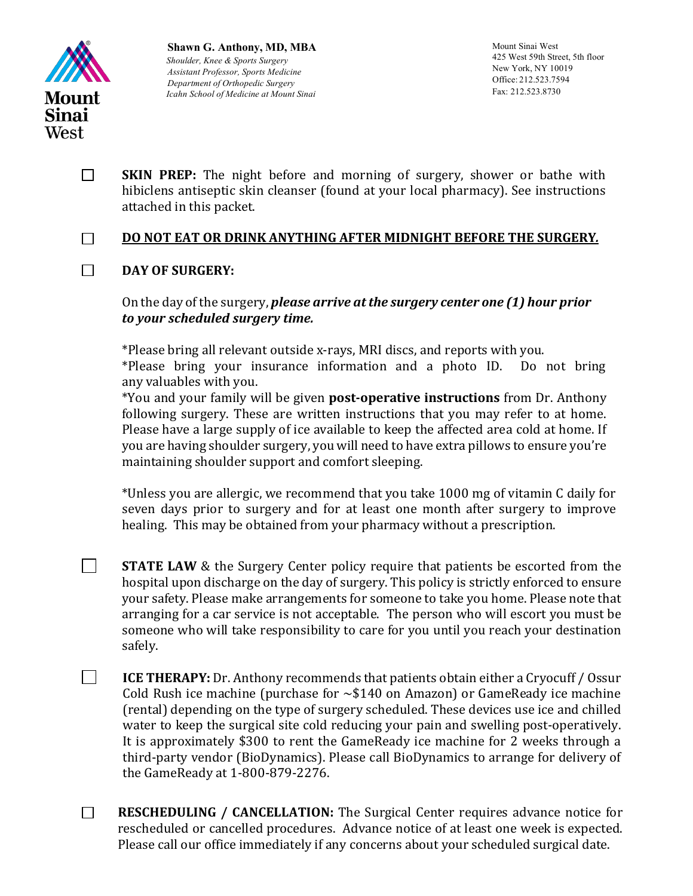

 $\Box$ 

**Shawn G. Anthony, MD, MBA** *Shoulder, Knee & Sports Surgery Assistant Professor, Sports Medicine Department of Orthopedic Surgery Icahn School of Medicine at Mount Sinai*

Mount Sinai West 425 West 59th Street, 5th floor New York, NY 10019 Office: 212.523.7594 Fax: 212.523.8730

**SKIN PREP:** The night before and morning of surgery, shower or bathe with  $\Box$ hibiclens antiseptic skin cleanser (found at your local pharmacy). See instructions attached in this packet.

### **DO NOT EAT OR DRINK ANYTHING AFTER MIDNIGHT BEFORE THE SURGERY***.* П.

#### $\Box$ DAY OF SURGERY:

On the day of the surgery, *please arrive at the surgery center one* (1) hour *prior to your scheduled surgery time.*

\*Please bring all relevant outside x-rays, MRI discs, and reports with you. \*Please bring your insurance information and a photo ID. Do not bring any valuables with you.

\*You and your family will be given **post-operative instructions** from Dr. Anthony following surgery. These are written instructions that you may refer to at home. Please have a large supply of ice available to keep the affected area cold at home. If you are having shoulder surgery, you will need to have extra pillows to ensure you're maintaining shoulder support and comfort sleeping.

\*Unless you are allergic, we recommend that you take 1000 mg of vitamin C daily for seven days prior to surgery and for at least one month after surgery to improve healing. This may be obtained from your pharmacy without a prescription.

**STATE LAW** & the Surgery Center policy require that patients be escorted from the hospital upon discharge on the day of surgery. This policy is strictly enforced to ensure your safety. Please make arrangements for someone to take you home. Please note that arranging for a car service is not acceptable. The person who will escort you must be someone who will take responsibility to care for you until you reach your destination safely.

 $\Box$ **ICE THERAPY:** Dr. Anthony recommends that patients obtain either a Cryocuff / Ossur Cold Rush ice machine (purchase for  $\sim$ \$140 on Amazon) or GameReady ice machine (rental) depending on the type of surgery scheduled. These devices use ice and chilled water to keep the surgical site cold reducing your pain and swelling post-operatively. It is approximately \$300 to rent the GameReady ice machine for 2 weeks through a third-party vendor (BioDynamics). Please call BioDynamics to arrange for delivery of the GameReady at 1-800-879-2276.

 $\Box$ **RESCHEDULING / CANCELLATION:** The Surgical Center requires advance notice for rescheduled or cancelled procedures. Advance notice of at least one week is expected. Please call our office immediately if any concerns about your scheduled surgical date.